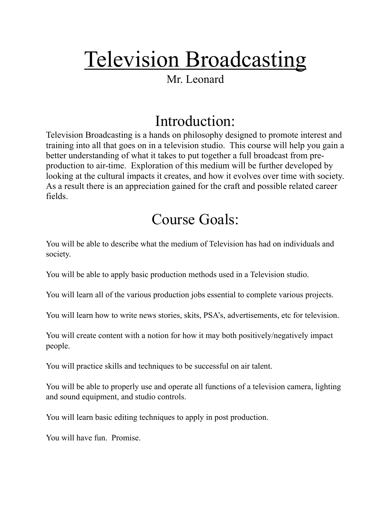# Television Broadcasting

#### Mr. Leonard

## Introduction:

Television Broadcasting is a hands on philosophy designed to promote interest and training into all that goes on in a television studio. This course will help you gain a better understanding of what it takes to put together a full broadcast from preproduction to air-time. Exploration of this medium will be further developed by looking at the cultural impacts it creates, and how it evolves over time with society. As a result there is an appreciation gained for the craft and possible related career fields.

## Course Goals:

You will be able to describe what the medium of Television has had on individuals and society.

You will be able to apply basic production methods used in a Television studio.

You will learn all of the various production jobs essential to complete various projects.

You will learn how to write news stories, skits, PSA's, advertisements, etc for television.

You will create content with a notion for how it may both positively/negatively impact people.

You will practice skills and techniques to be successful on air talent.

You will be able to properly use and operate all functions of a television camera, lighting and sound equipment, and studio controls.

You will learn basic editing techniques to apply in post production.

You will have fun. Promise.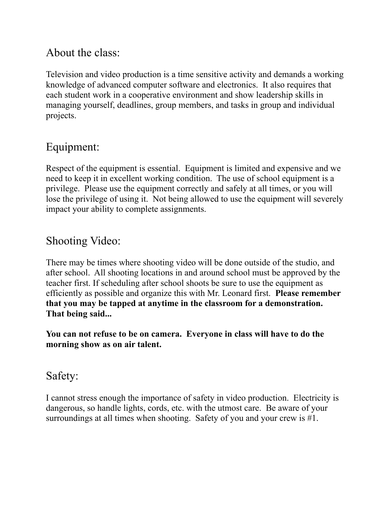### About the class:

Television and video production is a time sensitive activity and demands a working knowledge of advanced computer software and electronics. It also requires that each student work in a cooperative environment and show leadership skills in managing yourself, deadlines, group members, and tasks in group and individual projects.

## Equipment:

Respect of the equipment is essential. Equipment is limited and expensive and we need to keep it in excellent working condition. The use of school equipment is a privilege. Please use the equipment correctly and safely at all times, or you will lose the privilege of using it. Not being allowed to use the equipment will severely impact your ability to complete assignments.

### Shooting Video:

There may be times where shooting video will be done outside of the studio, and after school. All shooting locations in and around school must be approved by the teacher first. If scheduling after school shoots be sure to use the equipment as efficiently as possible and organize this with Mr. Leonard first. **Please remember that you may be tapped at anytime in the classroom for a demonstration. That being said...** 

**You can not refuse to be on camera. Everyone in class will have to do the morning show as on air talent.** 

#### Safety:

I cannot stress enough the importance of safety in video production. Electricity is dangerous, so handle lights, cords, etc. with the utmost care. Be aware of your surroundings at all times when shooting. Safety of you and your crew is #1.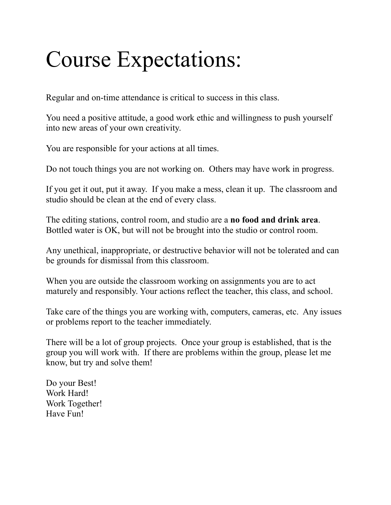# Course Expectations:

Regular and on-time attendance is critical to success in this class.

You need a positive attitude, a good work ethic and willingness to push yourself into new areas of your own creativity.

You are responsible for your actions at all times.

Do not touch things you are not working on. Others may have work in progress.

If you get it out, put it away. If you make a mess, clean it up. The classroom and studio should be clean at the end of every class.

The editing stations, control room, and studio are a **no food and drink area**. Bottled water is OK, but will not be brought into the studio or control room.

Any unethical, inappropriate, or destructive behavior will not be tolerated and can be grounds for dismissal from this classroom.

When you are outside the classroom working on assignments you are to act maturely and responsibly. Your actions reflect the teacher, this class, and school.

Take care of the things you are working with, computers, cameras, etc. Any issues or problems report to the teacher immediately.

There will be a lot of group projects. Once your group is established, that is the group you will work with. If there are problems within the group, please let me know, but try and solve them!

Do your Best! Work Hard! Work Together! Have Fun!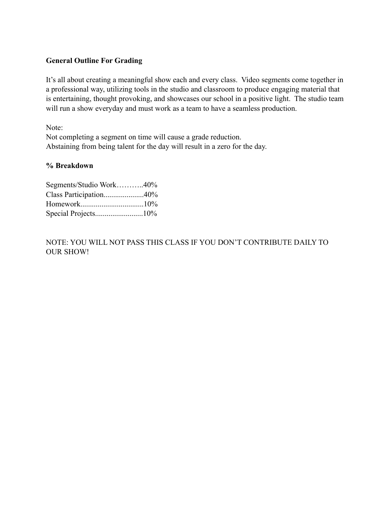#### **General Outline For Grading**

It's all about creating a meaningful show each and every class. Video segments come together in a professional way, utilizing tools in the studio and classroom to produce engaging material that is entertaining, thought provoking, and showcases our school in a positive light. The studio team will run a show everyday and must work as a team to have a seamless production.

Note:

Not completing a segment on time will cause a grade reduction. Abstaining from being talent for the day will result in a zero for the day.

#### **% Breakdown**

| Segments/Studio Work40% |  |
|-------------------------|--|
| Class Participation40%  |  |
|                         |  |
|                         |  |

NOTE: YOU WILL NOT PASS THIS CLASS IF YOU DON'T CONTRIBUTE DAILY TO OUR SHOW!